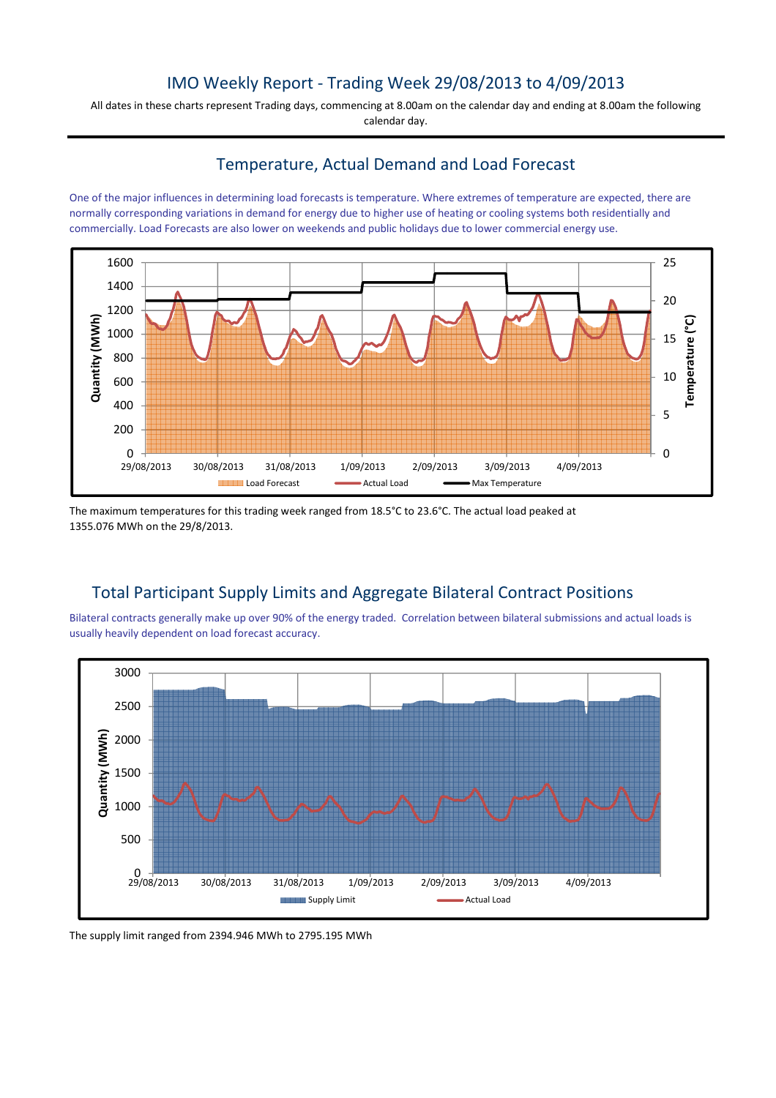### IMO Weekly Report - Trading Week 29/08/2013 to 4/09/2013

All dates in these charts represent Trading days, commencing at 8.00am on the calendar day and ending at 8.00am the following calendar day.

### Temperature, Actual Demand and Load Forecast

One of the major influences in determining load forecasts is temperature. Where extremes of temperature are expected, there are normally corresponding variations in demand for energy due to higher use of heating or cooling systems both residentially and commercially. Load Forecasts are also lower on weekends and public holidays due to lower commercial energy use.



The maximum temperatures for this trading week ranged from 18.5°C to 23.6°C. The actual load peaked at 1355.076 MWh on the 29/8/2013.

# Total Participant Supply Limits and Aggregate Bilateral Contract Positions

Bilateral contracts generally make up over 90% of the energy traded. Correlation between bilateral submissions and actual loads is usually heavily dependent on load forecast accuracy.



The supply limit ranged from 2394.946 MWh to 2795.195 MWh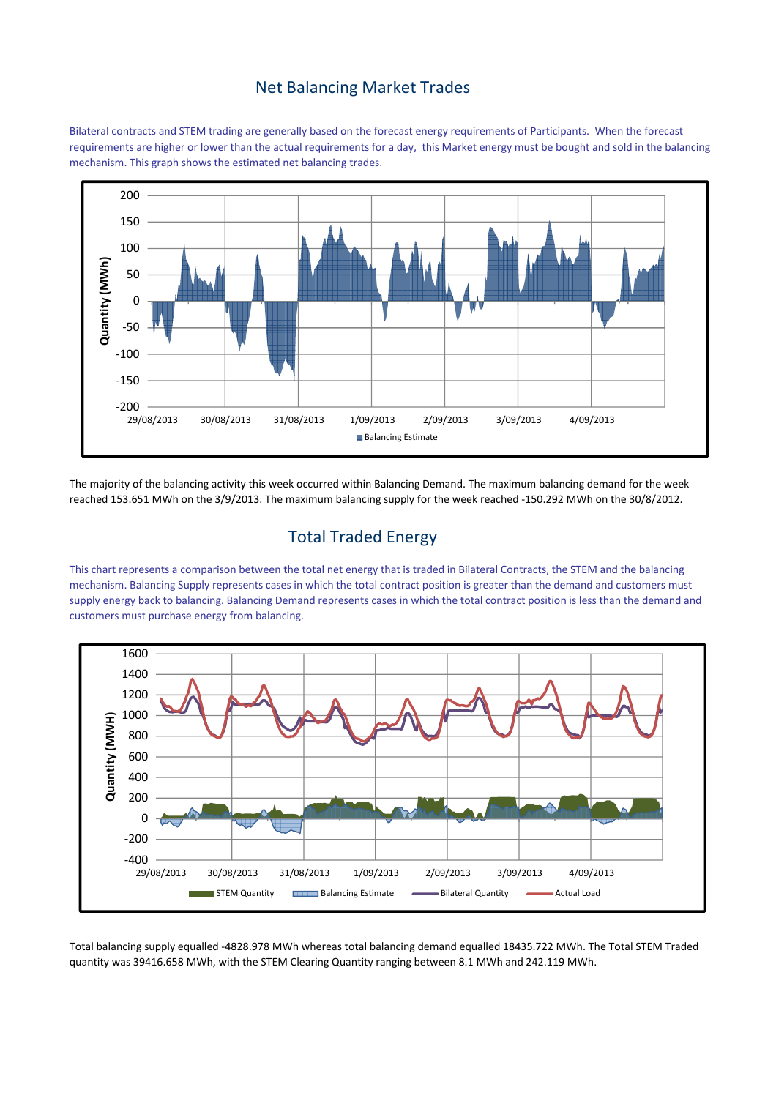## Net Balancing Market Trades

Bilateral contracts and STEM trading are generally based on the forecast energy requirements of Participants. When the forecast requirements are higher or lower than the actual requirements for a day, this Market energy must be bought and sold in the balancing mechanism. This graph shows the estimated net balancing trades.



The majority of the balancing activity this week occurred within Balancing Demand. The maximum balancing demand for the week reached 153.651 MWh on the 3/9/2013. The maximum balancing supply for the week reached -150.292 MWh on the 30/8/2012.

# Total Traded Energy

This chart represents a comparison between the total net energy that is traded in Bilateral Contracts, the STEM and the balancing mechanism. Balancing Supply represents cases in which the total contract position is greater than the demand and customers must supply energy back to balancing. Balancing Demand represents cases in which the total contract position is less than the demand and customers must purchase energy from balancing.



Total balancing supply equalled -4828.978 MWh whereas total balancing demand equalled 18435.722 MWh. The Total STEM Traded quantity was 39416.658 MWh, with the STEM Clearing Quantity ranging between 8.1 MWh and 242.119 MWh.